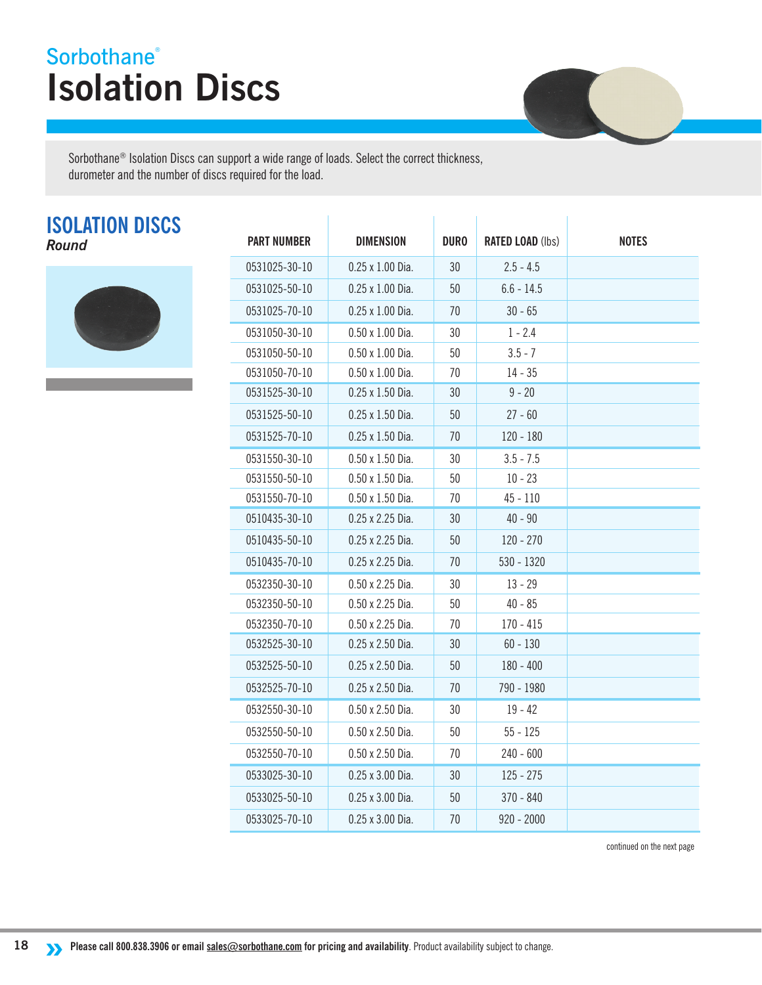## **Isolation Discs Sorbothane®**



Sorbothane<sup>®</sup> Isolation Discs can support a wide range of loads. Select the correct thickness, durometer and the number of discs required for the load.

## **ISOLATION DISCS**



| <b>ISOLATION DISCS</b><br>Round | <b>PART NUMBER</b> | <b>DIMENSION</b>        | <b>DURO</b> | <b>RATED LOAD (lbs)</b> | <b>NOTES</b> |
|---------------------------------|--------------------|-------------------------|-------------|-------------------------|--------------|
|                                 | 0531025-30-10      | $0.25 \times 1.00$ Dia. | 30          | $2.5 - 4.5$             |              |
|                                 | 0531025-50-10      | $0.25 \times 1.00$ Dia. | 50          | $6.6 - 14.5$            |              |
|                                 | 0531025-70-10      | 0.25 x 1.00 Dia.        | 70          | $30 - 65$               |              |
|                                 | 0531050-30-10      | $0.50 \times 1.00$ Dia. | 30          | $1 - 2.4$               |              |
|                                 | 0531050-50-10      | $0.50 \times 1.00$ Dia. | 50          | $3.5 - 7$               |              |
|                                 | 0531050-70-10      | $0.50 \times 1.00$ Dia. | 70          | $14 - 35$               |              |
|                                 | 0531525-30-10      | 0.25 x 1.50 Dia.        | 30          | $9 - 20$                |              |
|                                 | 0531525-50-10      | $0.25 \times 1.50$ Dia. | 50          | $27 - 60$               |              |
|                                 | 0531525-70-10      | $0.25 \times 1.50$ Dia. | 70          | $120 - 180$             |              |
|                                 | 0531550-30-10      | $0.50 \times 1.50$ Dia. | 30          | $3.5 - 7.5$             |              |
|                                 | 0531550-50-10      | $0.50 \times 1.50$ Dia. | 50          | $10 - 23$               |              |
|                                 | 0531550-70-10      | $0.50 \times 1.50$ Dia. | 70          | $45 - 110$              |              |
|                                 | 0510435-30-10      | 0.25 x 2.25 Dia.        | 30          | $40 - 90$               |              |
|                                 | 0510435-50-10      | 0.25 x 2.25 Dia.        | 50          | $120 - 270$             |              |
|                                 | 0510435-70-10      | 0.25 x 2.25 Dia.        | 70          | $530 - 1320$            |              |
|                                 | 0532350-30-10      | 0.50 x 2.25 Dia.        | 30          | $13 - 29$               |              |
|                                 | 0532350-50-10      | 0.50 x 2.25 Dia.        | 50          | $40 - 85$               |              |
|                                 | 0532350-70-10      | 0.50 x 2.25 Dia.        | 70          | $170 - 415$             |              |
|                                 | 0532525-30-10      | 0.25 x 2.50 Dia.        | 30          | $60 - 130$              |              |
|                                 | 0532525-50-10      | 0.25 x 2.50 Dia.        | 50          | $180 - 400$             |              |
|                                 | 0532525-70-10      | 0.25 x 2.50 Dia.        | 70          | 790 - 1980              |              |
|                                 | 0532550-30-10      | 0.50 x 2.50 Dia.        | 30          | $19 - 42$               |              |
|                                 | 0532550-50-10      | $0.50 \times 2.50$ Dia. | 50          | $55 - 125$              |              |
|                                 | 0532550-70-10      | 0.50 x 2.50 Dia.        | 70          | $240 - 600$             |              |
|                                 | 0533025-30-10      | 0.25 x 3.00 Dia.        | 30          | $125 - 275$             |              |
|                                 | 0533025-50-10      | 0.25 x 3.00 Dia.        | 50          | $370 - 840$             |              |
|                                 | 0533025-70-10      | 0.25 x 3.00 Dia.        | 70          | $920 - 2000$            |              |

continued on the next page